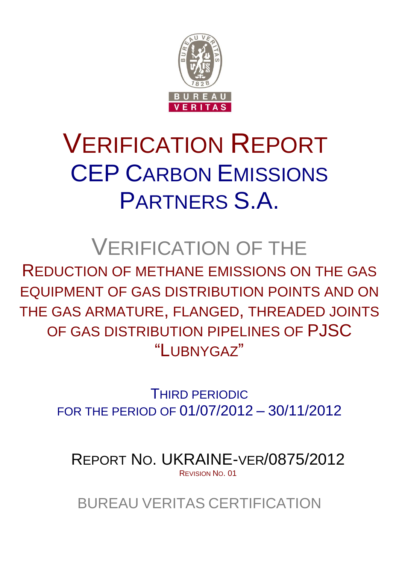

# VERIFICATION REPORT CEP CARBON EMISSIONS PARTNERS S.A.

# VERIFICATION OF THE

REDUCTION OF METHANE EMISSIONS ON THE GAS EQUIPMENT OF GAS DISTRIBUTION POINTS AND ON THE GAS ARMATURE, FLANGED, THREADED JOINTS OF GAS DISTRIBUTION PIPELINES OF PJSC "LUBNYGAZ"

> THIRD PERIODIC FOR THE PERIOD OF 01/07/2012 – 30/11/2012

REPORT NO. UKRAINE-VER/0875/2012 REVISION NO. 01

BUREAU VERITAS CERTIFICATION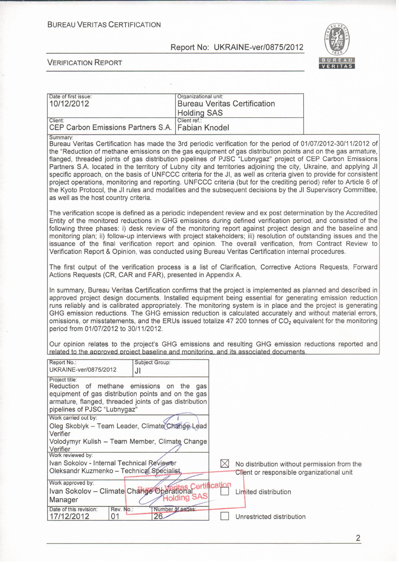**BUREAU VERITAS CERTIFICATION** 

Report No: UKRAINE-ver/0875/2012



#### **VERIFICATION REPORT**

| Date of first issue:<br>10/12/2012                          | Organizational unit:<br><b>Bureau Veritas Certification</b><br><b>Holding SAS</b> |  |
|-------------------------------------------------------------|-----------------------------------------------------------------------------------|--|
| Client:<br>CEP Carbon Emissions Partners S.A. Fabian Knodel | Client ref.:                                                                      |  |

**Summary** 

Bureau Veritas Certification has made the 3rd periodic verification for the period of 01/07/2012-30/11/2012 of the "Reduction of methane emissions on the gas equipment of gas distribution points and on the gas armature, flanged, threaded joints of gas distribution pipelines of PJSC "Lubnygaz" project of CEP Carbon Emissions Partners S.A. located in the territory of Lubny city and territories adjoining the city, Ukraine, and applying JI specific approach, on the basis of UNFCCC criteria for the JI, as well as criteria given to provide for consistent project operations, monitoring and reporting. UNFCCC criteria (but for the crediting period) refer to Article 6 of the Kyoto Protocol, the JI rules and modalities and the subsequent decisions by the JI Supervisory Committee. as well as the host country criteria.

The verification scope is defined as a periodic independent review and ex post determination by the Accredited Entity of the monitored reductions in GHG emissions during defined verification period, and consisted of the following three phases: i) desk review of the monitoring report against project design and the baseline and monitoring plan; ii) follow-up interviews with project stakeholders; iii) resolution of outstanding issues and the issuance of the final verification report and opinion. The overall verification, from Contract Review to Verification Report & Opinion, was conducted using Bureau Veritas Certification internal procedures.

The first output of the verification process is a list of Clarification, Corrective Actions Requests, Forward Actions Requests (CR, CAR and FAR), presented in Appendix A.

In summary, Bureau Veritas Certification confirms that the project is implemented as planned and described in approved project design documents. Installed equipment being essential for generating emission reduction runs reliably and is calibrated appropriately. The monitoring system is in place and the project is generating GHG emission reductions. The GHG emission reduction is calculated accurately and without material errors, omissions, or misstatements, and the ERUs issued totalize 47 200 tonnes of CO<sub>2</sub> equivalent for the monitoring period from 01/07/2012 to 30/11/2012.

Our opinion relates to the project's GHG emissions and resulting GHG emission reductions reported and related to the approved project baseline and monitoring, and its associated documents.

| Report No.:<br>UKRAINE-ver/0875/2012                                                                                                                                                                                | <b>Subject Group:</b><br>JI |                                                                                          |
|---------------------------------------------------------------------------------------------------------------------------------------------------------------------------------------------------------------------|-----------------------------|------------------------------------------------------------------------------------------|
| <b>Project title:</b><br>Reduction of methane emissions on the gas<br>equipment of gas distribution points and on the gas<br>armature, flanged, threaded joints of gas distribution<br>pipelines of PJSC "Lubnygaz" |                             |                                                                                          |
| Work carried out by:<br>Oleg Skoblyk - Team Leader, Climate Change Lead                                                                                                                                             |                             |                                                                                          |
| Verifier<br>Volodymyr Kulish - Team Member, Climate Change<br>Verifier                                                                                                                                              |                             |                                                                                          |
| Work reviewed by:<br>Ivan Sokolov - Internal Technical Reviewer<br>Oleksandr Kuzmenko - Technical Specialist                                                                                                        |                             | No distribution without permission from the<br>Client or responsible organizational unit |
| Work approved by:<br>Ivan Sokolov - Climate Change Operational<br>Manager                                                                                                                                           | <b>Holding SAS</b>          | Limited distribution                                                                     |
| Rev. No.:<br>Date of this revision:<br>17/12/2012<br>01                                                                                                                                                             | Number of pages:<br>26.     | Unrestricted distribution                                                                |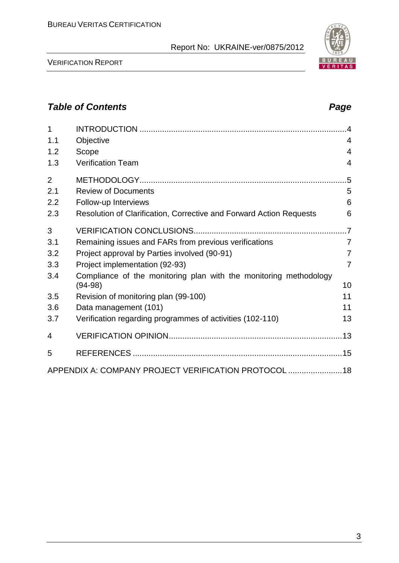VERIFICATION REPORT

APPENDIX A: COMPANY PROJECT VERIFICATION PROTOCOL ........................18

1 INTRODUCTION ............................................................................................4 1.1 Objective 4 1.2 Scope 4 1.3 Verification Team 4

2 METHODOLOGY............................................................................................5 2.1 Review of Documents 5 2.2 Follow-up Interviews 6 2.3 Resolution of Clarification, Corrective and Forward Action Requests 6

3 VERIFICATION CONCLUSIONS....................................................................7 3.1 Remaining issues and FARs from previous verifications 7 3.2 Project approval by Parties involved (90-91) 7 3.3 Project implementation (92-93) 7

3.5 Revision of monitoring plan (99-100) 11 3.6 Data management (101) 11 3.7 Verification regarding programmes of activities (102-110) 13

4 VERIFICATION OPINION.............................................................................13

5 REFERENCES .............................................................................................15

(94-98) 10

3.4 Compliance of the monitoring plan with the monitoring methodology

3

# *Table of Contents Page*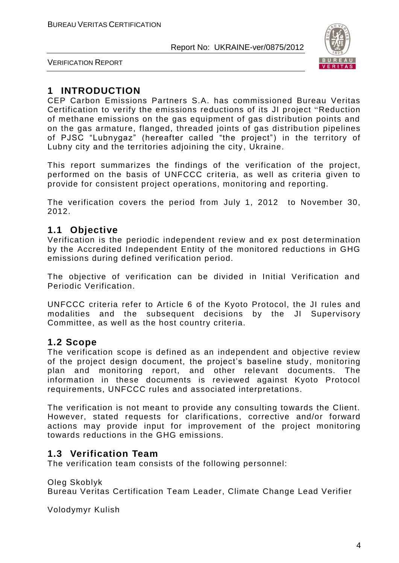

VERIFICATION REPORT

# **1 INTRODUCTION**

CEP Carbon Emissions Partners S.A. has commissioned Bureau Veritas Certification to verify the emissions reductions of its JI project "Reduction of methane emissions on the gas equipment of gas distribution points and on the gas armature, flanged, threaded joints of gas distribution pipelines of PJSC "Lubnygaz" (hereafter called "the project") in the territory of Lubny city and the territories adjoining the city, Ukraine.

This report summarizes the findings of the verification of the project, performed on the basis of UNFCCC criteria, as well as criteria given to provide for consistent project operations, monitoring and reporting.

The verification covers the period from July 1, 2012 to November 30, 2012.

# **1.1 Objective**

Verification is the periodic independent review and ex post de termination by the Accredited Independent Entity of the monitored reductions in GHG emissions during defined verification period.

The objective of verification can be divided in Initial Verification and Periodic Verification.

UNFCCC criteria refer to Article 6 of the Kyoto Protocol, the JI rules and modalities and the subsequent decisions by the JI Supervisory Committee, as well as the host country criteria.

### **1.2 Scope**

The verification scope is defined as an independent and objective review of the project design document, the project's baseline study, monitoring plan and monitoring report, and other relevant documents. The information in these documents is reviewed against Kyoto Protocol requirements, UNFCCC rules and associated interpretations.

The verification is not meant to provide any consulting towards the Client. However, stated requests for clarifications, corrective and/or forward actions may provide input for improvement of the project monitoring towards reductions in the GHG emissions.

# **1.3 Verification Team**

The verification team consists of the following personnel:

Oleg Skoblyk

Bureau Veritas Certification Team Leader, Climate Change Lead Verifier

Volodymyr Kulish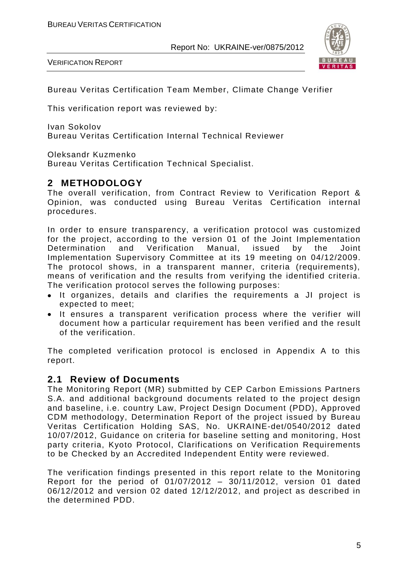VERIFICATION REPORT



Bureau Veritas Certification Team Member, Climate Change Verifier

This verification report was reviewed by:

Ivan Sokolov Bureau Veritas Certification Internal Technical Reviewer

Oleksandr Kuzmenko

Bureau Veritas Certification Technical Specialist.

# **2 METHODOLOGY**

The overall verification, from Contract Review to Verification Report & Opinion, was conducted using Bureau Veritas Certification internal procedures.

In order to ensure transparency, a verification protocol was customized for the project, according to the version 01 of the Joint Implementation<br>Determination and Verification Manual, issued by the Joint Determination and Verification Manual, issued by the Joint Implementation Supervisory Committee at its 19 meeting on 04/12/2009. The protocol shows, in a transparent manner, criteria (requirements), means of verification and the results from verifying the identified criteria. The verification protocol serves the following purposes:

- It organizes, details and clarifies the requirements a JI project is expected to meet;
- It ensures a transparent verification process where the verifier will document how a particular requirement has been verified and the result of the verification.

The completed verification protocol is enclosed in Appendix A to this report.

### **2.1 Review of Documents**

The Monitoring Report (MR) submitted by CEP Carbon Emissions Partners S.A. and additional background documents related to the project design and baseline, i.e. country Law, Project Design Document (PDD), Approved CDM methodology, Determination Report of the project issued by Bureau Veritas Certification Holding SAS, No. UKRAINE-det/0540/2012 dated 10/07/2012, Guidance on criteria for baseline setting and monitoring, Host party criteria, Kyoto Protocol, Clarifications on Verification Requirements to be Checked by an Accredited Independent Entity were reviewed.

The verification findings presented in this report relate to the Monitoring Report for the period of 01/07/2012 – 30/11/2012, version 01 dated 06/12/2012 and version 02 dated 12/12/2012, and project as described in the determined PDD.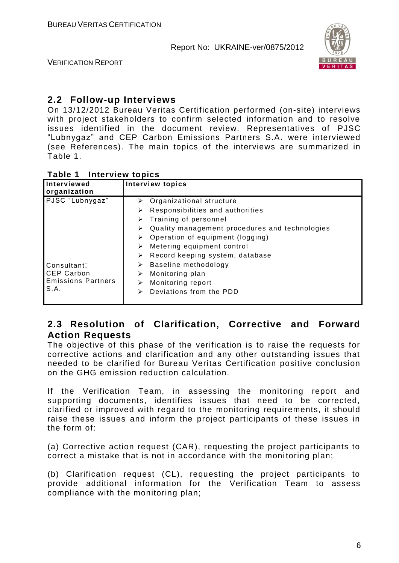

VERIFICATION REPORT

# **2.2 Follow-up Interviews**

On 13/12/2012 Bureau Veritas Certification performed (on-site) interviews with project stakeholders to confirm selected information and to resolve issues identified in the document review. Representatives of PJSC "Lubnygaz" and CEP Carbon Emissions Partners S.A. were interviewed (see References). The main topics of the interviews are summarized in Table 1.

#### **Table 1 Interview topics**

| Interviewed<br>organization | <b>Interview topics</b>                             |
|-----------------------------|-----------------------------------------------------|
| PJSC "Lubnygaz"             | Organizational structure<br>≻                       |
|                             | Responsibilities and authorities<br>➤               |
|                             | Training of personnel<br>➤                          |
|                             | Quality management procedures and technologies<br>➤ |
|                             | Operation of equipment (logging)<br>➤               |
|                             | Metering equipment control<br>➤                     |
|                             | Record keeping system, database<br>➤                |
| Consultant:                 | Baseline methodology<br>➤                           |
| <b>CEP Carbon</b>           | Monitoring plan<br>⋗                                |
| <b>Emissions Partners</b>   | Monitoring report<br>⋗                              |
| S.A.                        | Deviations from the PDD<br>⋗                        |

# **2.3 Resolution of Clarification, Corrective and Forward Action Requests**

The objective of this phase of the verification is to raise the requests for corrective actions and clarification and any other outstanding issues that needed to be clarified for Bureau Veritas Certification positive conclusion on the GHG emission reduction calculation.

If the Verification Team, in assessing the monitoring report and supporting documents, identifies issues that need to be corrected, clarified or improved with regard to the monitoring requirements, it should raise these issues and inform the project participants of these issues in the form of:

(a) Corrective action request (CAR), requesting the project participants to correct a mistake that is not in accordance with the monitoring plan;

(b) Clarification request (CL), requesting the project participants to provide additional information for the Verification Team to assess compliance with the monitoring plan;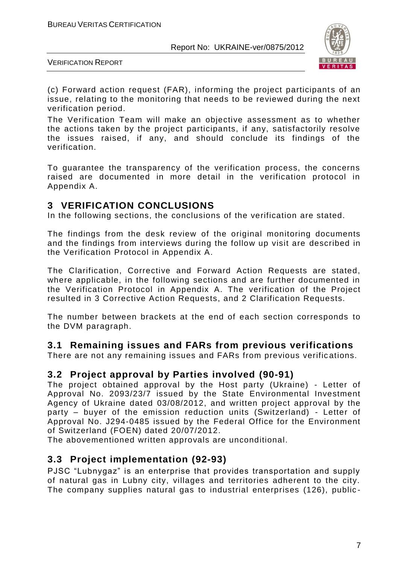

VERIFICATION REPORT

(c) Forward action request (FAR), informing the project participants of an issue, relating to the monitoring that needs to be reviewed during the next verification period.

The Verification Team will make an objective assessment as to whether the actions taken by the project participants, if any, satisfactorily resolve the issues raised, if any, and should conclude its findings of the verification.

To guarantee the transparency of the verification process, the concerns raised are documented in more detail in the verification protocol in Appendix A.

# **3 VERIFICATION CONCLUSIONS**

In the following sections, the conclusions of the verification are stated.

The findings from the desk review of the original monitoring documents and the findings from interviews during the follow up visit are described in the Verification Protocol in Appendix A.

The Clarification, Corrective and Forward Action Requests are stated, where applicable, in the following sections and are further documented in the Verification Protocol in Appendix A. The verification of the Project resulted in 3 Corrective Action Requests, and 2 Clarification Requests.

The number between brackets at the end of each section corresponds to the DVM paragraph.

# **3.1 Remaining issues and FARs from previous verifications**

There are not any remaining issues and FARs from previous verifications.

### **3.2 Project approval by Parties involved (90-91)**

The project obtained approval by the Host party (Ukraine) - Letter of Approval No. 2093/23/7 issued by the State Environmental Investment Agency of Ukraine dated 03/08/2012, and written project approval by the party – buyer of the emission reduction units (Switzerland) - Letter of Approval No. J294-0485 issued by the Federal Office for the Environment of Switzerland (FOEN) dated 20/07/2012.

The abovementioned written approvals are unconditional.

# **3.3 Project implementation (92-93)**

PJSC "Lubnygaz" is an enterprise that provides transportation and supply of natural gas in Lubny city, villages and territories adherent to the city. The company supplies natural gas to industrial enterprises (126), public -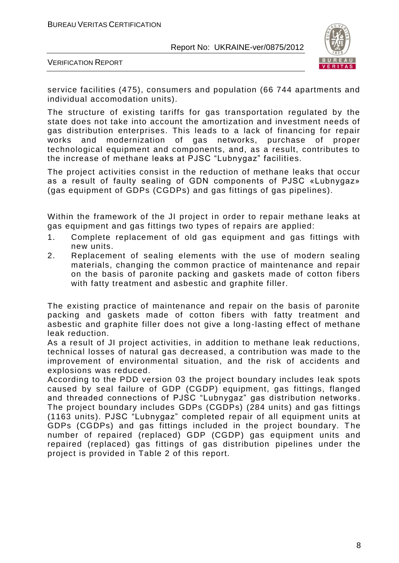

VERIFICATION REPORT

service facilities (475), consumers and population (66 744 apartments and individual accomodation units).

The structure of existing tariffs for gas transportation regulated by the state does not take into account the amortization and investment needs of gas distribution enterprises. This leads to a lack of financing for repair works and modernization of gas networks, purchase of proper technological equipment and components, and, as a result, contributes to the increase of methane leaks at PJSC "Lubnygaz" facilities.

The project activities consist in the reduction of methane leaks that occur as a result of faulty sealing of GDN components of PJSC «Lubnygaz» (gas equipment of GDPs (CGDPs) and gas fittings of gas pipelines).

Within the framework of the JI project in order to repair methane leaks at gas equipment and gas fittings two types of repairs are applied:

- 1. Complete replacement of old gas equipment and gas fittings with new units.
- 2. Replacement of sealing elements with the use of modern sealing materials, changing the common practice of maintenance and repair on the basis of paronite packing and gaskets made of cotton fibers with fatty treatment and asbestic and graphite filler.

The existing practice of maintenance and repair on the basis of paronite packing and gaskets made of cotton fibers with fatty treatment and asbestic and graphite filler does not give a long-lasting effect of methane leak reduction.

As a result of JI project activities, in addition to methane leak reductions, technical losses of natural gas decreased, a contribution was made to the improvement of environmental situation, and the risk of accidents and explosions was reduced.

According to the PDD version 03 the project boundary includes leak spots caused by seal failure of GDP (CGDP) equipment, gas fittings, flanged and threaded connections of PJSC "Lubnygaz" gas distribution networks . The project boundary includes GDPs (CGDPs) (284 units) and gas fittings (1163 units). PJSC "Lubnygaz" completed repair of all equipment units at GDPs (CGDPs) and gas fittings included in the project boundary. The number of repaired (replaced) GDP (CGDP) gas equipment units and repaired (replaced) gas fittings of gas distribution pipelines under the project is provided in Table 2 of this report.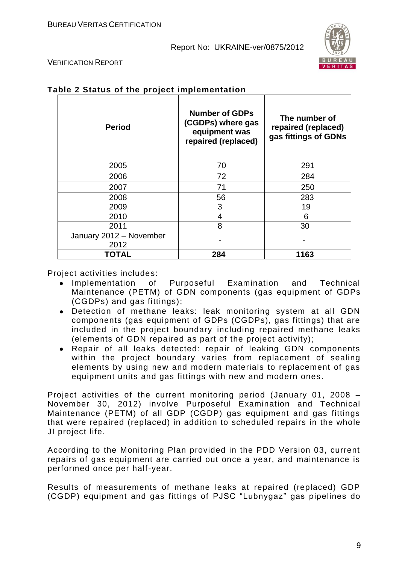Τ



٦

VERIFICATION REPORT

|  |  |  |  | Table 2 Status of the project implementation |
|--|--|--|--|----------------------------------------------|
|--|--|--|--|----------------------------------------------|

| <b>Period</b>                   | <b>Number of GDPs</b><br>(CGDPs) where gas<br>equipment was<br>repaired (replaced) | The number of<br>repaired (replaced)<br>gas fittings of GDNs |
|---------------------------------|------------------------------------------------------------------------------------|--------------------------------------------------------------|
| 2005                            | 70                                                                                 | 291                                                          |
| 2006                            | 72                                                                                 | 284                                                          |
| 2007                            | 71                                                                                 | 250                                                          |
| 2008                            | 56                                                                                 | 283                                                          |
| 2009                            | 3                                                                                  | 19                                                           |
| 2010                            | 4                                                                                  | 6                                                            |
| 2011                            | 8                                                                                  | 30                                                           |
| January 2012 - November<br>2012 |                                                                                    |                                                              |
| TOTAL                           | 284                                                                                | 1163                                                         |

Project activities includes:

- Implementation of Purposeful Examination and Technical Maintenance (PETM) of GDN components (gas equipment of GDPs (CGDPs) and gas fittings);
- Detection of methane leaks: leak monitoring system at all GDN components (gas equipment of GDPs (CGDPs), gas fittings) that are included in the project boundary including repaired methane leaks (elements of GDN repaired as part of the project activity);
- Repair of all leaks detected: repair of leaking GDN components within the project boundary varies from replacement of sealing elements by using new and modern materials to replacement of gas equipment units and gas fittings with new and modern ones.

Project activities of the current monitoring period (January 01, 2008 – November 30, 2012) involve Purposeful Examination and Technical Maintenance (PETM) of all GDP (CGDP) gas equipment and gas fittings that were repaired (replaced) in addition to scheduled repairs in the whole JI project life.

According to the Monitoring Plan provided in the PDD Version 03, current repairs of gas equipment are carried out once a year, and maintenance is performed once per half-year.

Results of measurements of methane leaks at repaired (replaced) GDP (CGDP) equipment and gas fittings of PJSC "Lubnygaz" gas pipelines do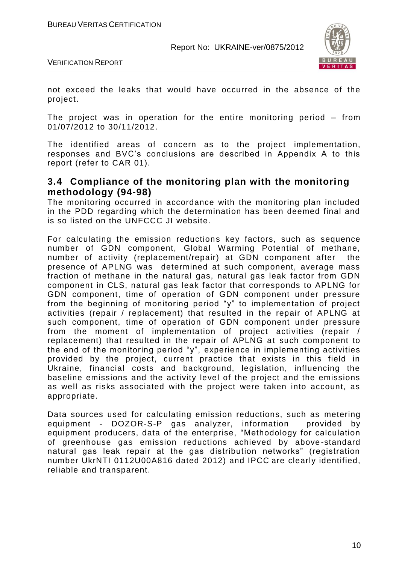

VERIFICATION REPORT

not exceed the leaks that would have occurred in the absence of the project.

The project was in operation for the entire monitoring period – from 01/07/2012 to 30/11/2012.

The identified areas of concern as to the project implementation, responses and BVC's conclusions are described in Appendix A to this report (refer to CAR 01).

## **3.4 Compliance of the monitoring plan with the monitoring methodology (94-98)**

The monitoring occurred in accordance with the monitoring plan included in the PDD regarding which the determination has been deemed final and is so listed on the UNFCCC JI website.

For calculating the emission reductions key factors, such as sequence number of GDN component, Global Warming Potential of methane, number of activity (replacement/repair) at GDN component after the presence of APLNG was determined at such component, average mass fraction of methane in the natural gas, natural gas leak factor from GDN component in CLS, natural gas leak factor that corresponds to APLNG for GDN component, time of operation of GDN component under pressure from the beginning of monitoring period "y" to implementation of project activities (repair / replacement) that resulted in the repair of APLNG at such component, time of operation of GDN component under pressure from the moment of implementation of project activities (repair / replacement) that resulted in the repair of APLNG at such component to the end of the monitoring period "y", experience in implementing activities provided by the project, current practice that exists in this field in Ukraine, financial costs and background, legislation, influencing the baseline emissions and the activity level of the project and the emissions as well as risks associated with the project were taken into account, as appropriate.

Data sources used for calculating emission reductions, such as metering equipment - DOZOR-S-P gas analyzer, information provided by equipment producers, data of the enterprise, "Methodology for calculation of greenhouse gas emission reductions achieved by above -standard natural gas leak repair at the gas distribution networks" (registration number UkrNTI 0112U00A816 dated 2012) and IPCC are clearly identified, reliable and transparent.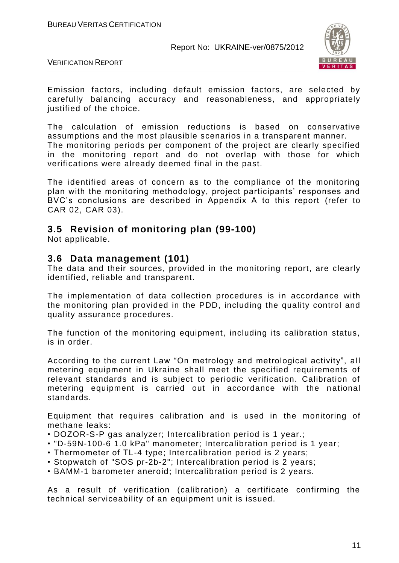

VERIFICATION REPORT

Emission factors, including default emission factors, are selected by carefully balancing accuracy and reasonableness, and appropriately justified of the choice.

The calculation of emission reductions is based on conservative assumptions and the most plausible scenarios in a transparent manner. The monitoring periods per component of the project are clearly specified in the monitoring report and do not overlap with those for which

verifications were already deemed final in the past. The identified areas of concern as to the compliance of the monitoring plan with the monitoring methodology, project participants' responses and BVC's conclusions are described in Appendix A to this report (refer to

### **3.5 Revision of monitoring plan (99-100)**

Not applicable.

CAR 02, CAR 03).

#### **3.6 Data management (101)**

The data and their sources, provided in the monitoring report, are clearly identified, reliable and transparent.

The implementation of data collection procedures is in accordance with the monitoring plan provided in the PDD, including the quality control and quality assurance procedures.

The function of the monitoring equipment, including its calibration status, is in order.

According to the current Law "On metrology and metrological activity", all metering equipment in Ukraine shall meet the specified requirements of relevant standards and is subject to periodic verification. Calibration of metering equipment is carried out in accordance with the national standards.

Equipment that requires calibration and is used in the monitoring of methane leaks:

- DOZOR-S-P gas analyzer; Intercalibration period is 1 year.;
- "D-59N-100-6 1.0 kPa" manometer; Intercalibration period is 1 year;
- Thermometer of TL-4 type; Intercalibration period is 2 years;
- Stopwatch of "SOS pr-2b-2"; Intercalibration period is 2 years;
- BAMM-1 barometer aneroid; Intercalibration period is 2 years.

As a result of verification (calibration) a certificate confirming the technical serviceability of an equipment unit is issued.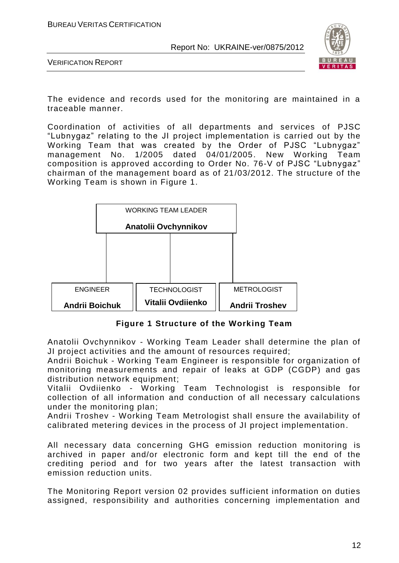

VERIFICATION REPORT

The evidence and records used for the monitoring are maintained in a traceable manner.

Coordination of activities of all departments and services of PJSC "Lubnygaz" relating to the JI project implementation is carried out by the Working Team that was created by the Order of PJSC "Lubnygaz" management No. 1/2005 dated 04/01/2005. New Working Team composition is approved according to Order No. 76-V of PJSC "Lubnygaz" chairman of the management board as of 21/03/2012. The structure of the Working Team is shown in Figure 1.



**Figure 1 Structure of the Working Team**

Anatolii Ovchynnikov - Working Team Leader shall determine the plan of JI project activities and the amount of resources required;

Andrii Boichuk - Working Team Engineer is responsible for organization of monitoring measurements and repair of leaks at GDP (CGDP) and gas distribution network equipment;

Vitalii Ovdiienko - Working Team Technologist is responsible for collection of all information and conduction of all necessary calculations under the monitoring plan;

Andrii Troshev - Working Team Metrologist shall ensure the availability of calibrated metering devices in the process of JI project implementation.

All necessary data concerning GHG emission reduction monitoring is archived in paper and/or electronic form and kept till the end of the crediting period and for two years after the latest transaction with emission reduction units.

The Monitoring Report version 02 provides sufficient information on duties assigned, responsibility and authorities concerning implementation and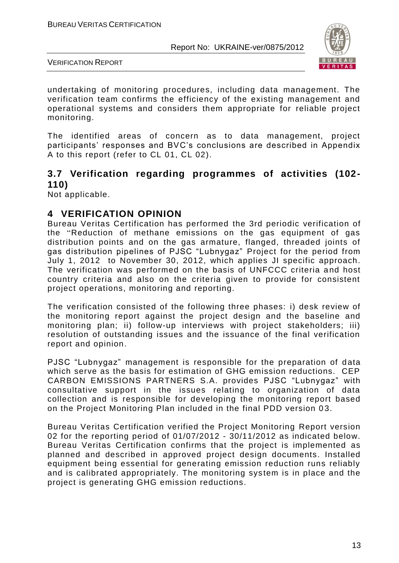

VERIFICATION REPORT

undertaking of monitoring procedures, including data management. The verification team confirms the efficiency of the existing management and operational systems and considers them appropriate for reliable project monitoring.

The identified areas of concern as to data management, project participants' responses and BVC's conclusions are described in Appendix A to this report (refer to CL 01, CL 02).

## **3.7 Verification regarding programmes of activities (102- 110)**

Not applicable.

#### **4 VERIFICATION OPINION**

Bureau Veritas Certification has performed the 3rd periodic verification of the "Reduction of methane emissions on the gas equipment of gas distribution points and on the gas armature, flanged, threaded joints of gas distribution pipelines of PJSC "Lubnygaz" Project for the period from July 1, 2012 to November 30, 2012, which applies JI specific approach. The verification was performed on the basis of UNFCCC criteria and host country criteria and also on the criteria given to provide for consistent project operations, monitoring and reporting.

The verification consisted of the following three phases: i) desk review of the monitoring report against the project design and the baseline and monitoring plan; ii) follow-up interviews with project stakeholders; iii) resolution of outstanding issues and the issuance of the final verification report and opinion.

PJSC "Lubnygaz" management is responsible for the preparation of data which serve as the basis for estimation of GHG emission reductions. CEP CARBON EMISSIONS PARTNERS S.A. provides PJSC "Lubnygaz" with consultative support in the issues relating to organization of data collection and is responsible for developing the monitoring report based on the Project Monitoring Plan included in the final PDD version 03.

Bureau Veritas Certification verified the Project Monitoring Report version 02 for the reporting period of 01/07/2012 - 30/11/2012 as indicated below. Bureau Veritas Certification confirms that the project is implemented as planned and described in approved project design documents. Installed equipment being essential for generating emission reduction runs reliably and is calibrated appropriately. The monitoring system is in place and the project is generating GHG emission reductions.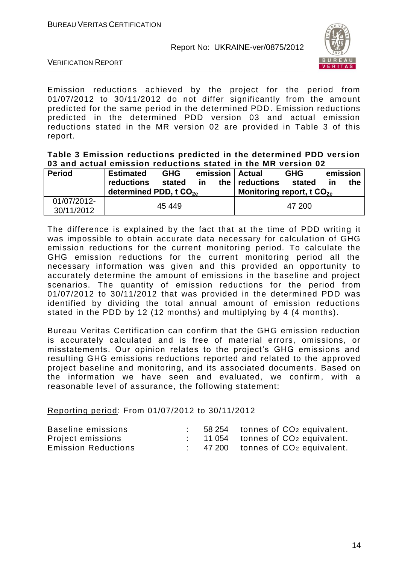

VERIFICATION REPORT

Emission reductions achieved by the project for the period from 01/07/2012 to 30/11/2012 do not differ significantly from the amount predicted for the same period in the determined PDD. Emission reductions predicted in the determined PDD version 03 and actual emission reductions stated in the MR version 02 are provided in Table 3 of this report.

#### **Table 3 Emission reductions predicted in the determined PDD version 03 and actual emission reductions stated in the MR version 02**

| <b>Period</b>             | <b>Estimated</b>                                 | <b>GHG</b><br>emission   Actual |    |     | <b>GHG</b>                                | emission |    |     |
|---------------------------|--------------------------------------------------|---------------------------------|----|-----|-------------------------------------------|----------|----|-----|
|                           | reductions<br>determined PDD, t CO <sub>20</sub> | stated                          | ίn | the | reductions<br>Monitoring report, t $CO2e$ | stated   | ın | the |
| 01/07/2012-<br>30/11/2012 |                                                  | 45 449                          |    |     |                                           | 47 200   |    |     |

The difference is explained by the fact that at the time of PDD writing it was impossible to obtain accurate data necessary for calculation of GHG emission reductions for the current monitoring period. To calculate the GHG emission reductions for the current monitoring period all the necessary information was given and this provided an opportunity to accurately determine the amount of emissions in the baseline and project scenarios. The quantity of emission reductions for the period from 01/07/2012 to 30/11/2012 that was provided in the determined PDD was identified by dividing the total annual amount of emission reductions stated in the PDD by 12 (12 months) and multiplying by 4 (4 months).

Bureau Veritas Certification can confirm that the GHG emission reduction is accurately calculated and is free of material errors, omissions, or misstatements. Our opinion relates to the project's GHG emissions and resulting GHG emissions reductions reported and related to the approved project baseline and monitoring, and its associated documents. Based on the information we have seen and evaluated, we confirm, with a reasonable level of assurance, the following statement:

Reporting period: From 01/07/2012 to 30/11/2012

| Baseline emissions         |  | 58 254 tonnes of CO <sub>2</sub> equivalent. |
|----------------------------|--|----------------------------------------------|
| Project emissions          |  | 11 054 tonnes of CO <sub>2</sub> equivalent. |
| <b>Emission Reductions</b> |  | 47 200 tonnes of CO <sub>2</sub> equivalent. |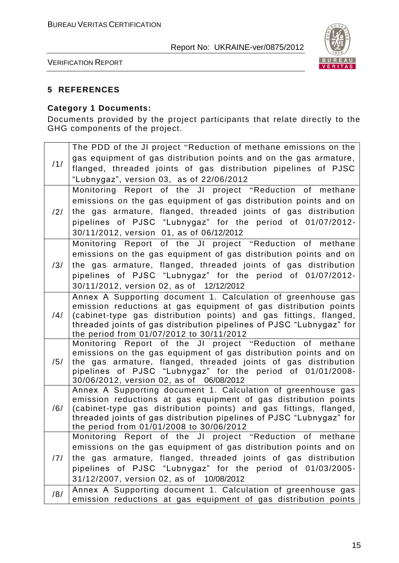

VERIFICATION REPORT

#### **5 REFERENCES**

#### **Category 1 Documents:**

Documents provided by the project participants that relate directly to the GHG components of the project.

|                | The PDD of the JI project "Reduction of methane emissions on the                                                                |
|----------------|---------------------------------------------------------------------------------------------------------------------------------|
|                | gas equipment of gas distribution points and on the gas armature,                                                               |
| /1/            | flanged, threaded joints of gas distribution pipelines of PJSC                                                                  |
|                | "Lubnygaz", version 03, as of 22/06/2012                                                                                        |
|                | Monitoring Report of the JI project "Reduction of methane                                                                       |
|                | emissions on the gas equipment of gas distribution points and on                                                                |
| $\frac{12}{1}$ | the gas armature, flanged, threaded joints of gas distribution                                                                  |
|                | pipelines of PJSC "Lubnygaz" for the period of 01/07/2012-                                                                      |
|                | 30/11/2012, version 01, as of 06/12/2012                                                                                        |
|                | Monitoring Report of the JI project "Reduction of methane                                                                       |
|                | emissions on the gas equipment of gas distribution points and on                                                                |
| /3/            | the gas armature, flanged, threaded joints of gas distribution                                                                  |
|                | pipelines of PJSC "Lubnygaz" for the period of 01/07/2012-                                                                      |
|                | 30/11/2012, version 02, as of 12/12/2012                                                                                        |
|                | Annex A Supporting document 1. Calculation of greenhouse gas                                                                    |
|                | emission reductions at gas equipment of gas distribution points                                                                 |
| /4/            | (cabinet-type gas distribution points) and gas fittings, flanged,                                                               |
|                | threaded joints of gas distribution pipelines of PJSC "Lubnygaz" for<br>the period from 01/07/2012 to 30/11/2012                |
|                | Monitoring Report of the JI project "Reduction of methane                                                                       |
|                | emissions on the gas equipment of gas distribution points and on                                                                |
| /5/            | the gas armature, flanged, threaded joints of gas distribution                                                                  |
|                | pipelines of PJSC "Lubnygaz" for the period of 01/01/2008-                                                                      |
|                | 30/06/2012, version 02, as of 06/08/2012                                                                                        |
|                | Annex A Supporting document 1. Calculation of greenhouse gas<br>emission reductions at gas equipment of gas distribution points |
| /6/            | (cabinet-type gas distribution points) and gas fittings, flanged,                                                               |
|                | threaded joints of gas distribution pipelines of PJSC "Lubnygaz" for                                                            |
|                | the period from 01/01/2008 to 30/06/2012                                                                                        |
|                | Monitoring Report of the JI project "Reduction of methane                                                                       |
|                | emissions on the gas equipment of gas distribution points and on                                                                |
| /7/            | the gas armature, flanged, threaded joints of gas distribution                                                                  |
|                | pipelines of PJSC "Lubnygaz" for the period of 01/03/2005-                                                                      |
|                | 31/12/2007, version 02, as of 10/08/2012                                                                                        |
| /8/            | Annex A Supporting document 1. Calculation of greenhouse gas                                                                    |
|                | emission reductions at gas equipment of gas distribution points                                                                 |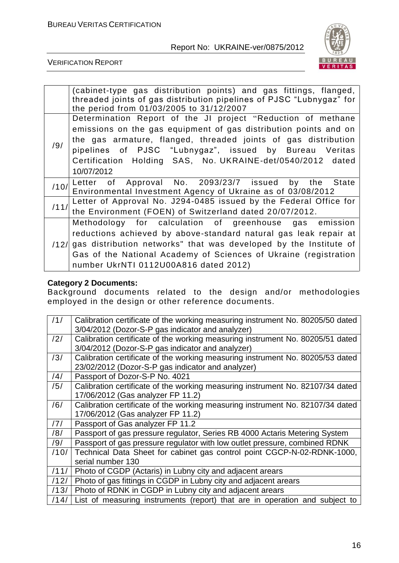

VERIFICATION REPORT

|      | (cabinet-type gas distribution points) and gas fittings, flanged,<br>threaded joints of gas distribution pipelines of PJSC "Lubnygaz" for<br>the period from 01/03/2005 to 31/12/2007 |
|------|---------------------------------------------------------------------------------------------------------------------------------------------------------------------------------------|
|      | Determination Report of the JI project "Reduction of methane                                                                                                                          |
|      | emissions on the gas equipment of gas distribution points and on                                                                                                                      |
| /9/  | the gas armature, flanged, threaded joints of gas distribution                                                                                                                        |
|      | pipelines of PJSC "Lubnygaz", issued by Bureau Veritas                                                                                                                                |
|      | Certification Holding SAS, No. UKRAINE-det/0540/2012 dated                                                                                                                            |
|      | 10/07/2012                                                                                                                                                                            |
| /10/ | Letter of Approval No. 2093/23/7 issued by the State                                                                                                                                  |
|      | Environmental Investment Agency of Ukraine as of 03/08/2012                                                                                                                           |
| /11/ | Letter of Approval No. J294-0485 issued by the Federal Office for                                                                                                                     |
|      | the Environment (FOEN) of Switzerland dated 20/07/2012.                                                                                                                               |
|      | Methodology for calculation of greenhouse gas emission                                                                                                                                |
|      | reductions achieved by above-standard natural gas leak repair at                                                                                                                      |
| /12/ | gas distribution networks" that was developed by the Institute of                                                                                                                     |
|      | Gas of the National Academy of Sciences of Ukraine (registration                                                                                                                      |
|      | number UkrNTI 0112U00A816 dated 2012)                                                                                                                                                 |

#### **Category 2 Documents:**

Background documents related to the design and/or methodologies employed in the design or other reference documents.

| /1/  | Calibration certificate of the working measuring instrument No. 80205/50 dated<br>3/04/2012 (Dozor-S-P gas indicator and analyzer) |
|------|------------------------------------------------------------------------------------------------------------------------------------|
| /2/  | Calibration certificate of the working measuring instrument No. 80205/51 dated                                                     |
|      | 3/04/2012 (Dozor-S-P gas indicator and analyzer)                                                                                   |
| /3/  | Calibration certificate of the working measuring instrument No. 80205/53 dated                                                     |
|      | 23/02/2012 (Dozor-S-P gas indicator and analyzer)                                                                                  |
| /4/  | Passport of Dozor-S-P No. 4021                                                                                                     |
| /5/  | Calibration certificate of the working measuring instrument No. 82107/34 dated                                                     |
|      | 17/06/2012 (Gas analyzer FP 11.2)                                                                                                  |
| /6/  | Calibration certificate of the working measuring instrument No. 82107/34 dated                                                     |
|      | 17/06/2012 (Gas analyzer FP 11.2)                                                                                                  |
| /7/  | Passport of Gas analyzer FP 11.2                                                                                                   |
| /8/  | Passport of gas pressure regulator, Series RB 4000 Actaris Metering System                                                         |
| /9/  | Passport of gas pressure regulator with low outlet pressure, combined RDNK                                                         |
| /10/ | Technical Data Sheet for cabinet gas control point CGCP-N-02-RDNK-1000,                                                            |
|      | serial number 130                                                                                                                  |
| /11/ | Photo of CGDP (Actaris) in Lubny city and adjacent arears                                                                          |
| /12/ | Photo of gas fittings in CGDP in Lubny city and adjacent arears                                                                    |
| /13/ | Photo of RDNK in CGDP in Lubny city and adjacent arears                                                                            |
| /14/ | List of measuring instruments (report) that are in operation and subject to                                                        |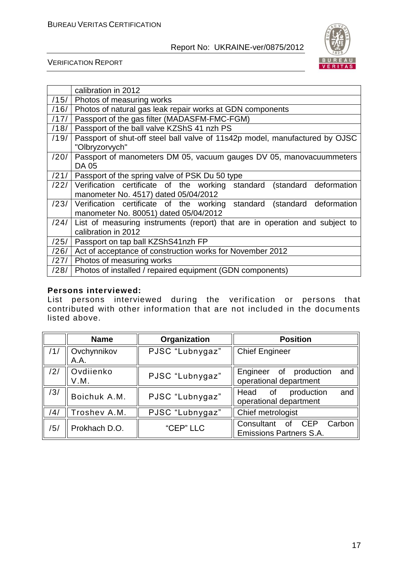

VERIFICATION REPORT

|      | calibration in 2012                                                         |  |  |  |  |
|------|-----------------------------------------------------------------------------|--|--|--|--|
| /15/ | Photos of measuring works                                                   |  |  |  |  |
| /16/ | Photos of natural gas leak repair works at GDN components                   |  |  |  |  |
| /17/ | Passport of the gas filter (MADASFM-FMC-FGM)                                |  |  |  |  |
| /18/ | Passport of the ball valve KZShS 41 nzh PS                                  |  |  |  |  |
| /19/ | Passport of shut-off steel ball valve of 11s42p model, manufactured by OJSC |  |  |  |  |
|      | "Olbryzorvych"                                                              |  |  |  |  |
| /20/ | Passport of manometers DM 05, vacuum gauges DV 05, manovacuummeters         |  |  |  |  |
|      | DA 05                                                                       |  |  |  |  |
| /21/ | Passport of the spring valve of PSK Du 50 type                              |  |  |  |  |
| /22/ | Verification certificate of the working standard (standard deformation      |  |  |  |  |
|      | manometer No. 4517) dated 05/04/2012                                        |  |  |  |  |
| /23/ | Verification certificate of the working standard<br>(standard deformation   |  |  |  |  |
|      | manometer No. 80051) dated 05/04/2012                                       |  |  |  |  |
| /24/ | List of measuring instruments (report) that are in operation and subject to |  |  |  |  |
|      | calibration in 2012                                                         |  |  |  |  |
| /25/ | Passport on tap ball KZShS41nzh FP                                          |  |  |  |  |
| /26/ | Act of acceptance of construction works for November 2012                   |  |  |  |  |
| /27/ | Photos of measuring works                                                   |  |  |  |  |
| /28/ | Photos of installed / repaired equipment (GDN components)                   |  |  |  |  |

#### **Persons interviewed:**

List persons interviewed during the verification or persons that contributed with other information that are not included in the documents listed above.

|     | <b>Name</b>         | Organization    | <b>Position</b>                                                            |
|-----|---------------------|-----------------|----------------------------------------------------------------------------|
| /1/ | Ovchynnikov<br>A.A. | PJSC "Lubnygaz" | <b>Chief Engineer</b>                                                      |
| /2/ | Ovdiienko<br>V.M.   | PJSC "Lubnygaz" | and<br>Engineer of production<br>operational department                    |
| /3/ | Boichuk A.M.        | PJSC "Lubnygaz" | and<br>production<br>Head<br>0f<br>operational department                  |
| /4/ | Troshev A.M.        | PJSC "Lubnygaz" | Chief metrologist                                                          |
| /5/ | Prokhach D.O.       | "CEP" LLC       | <b>CEP</b><br>Carbon<br>Consultant<br>0f<br><b>Emissions Partners S.A.</b> |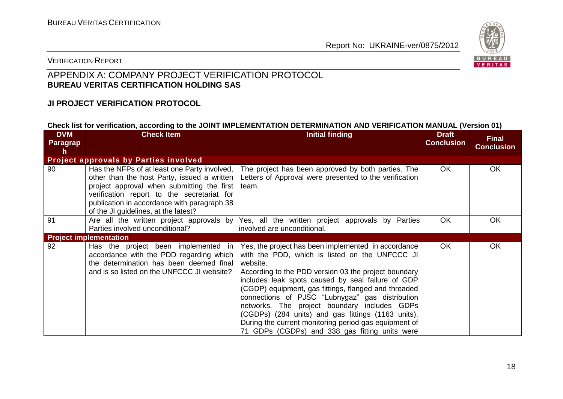

#### VERIFICATION REPORT

## APPENDIX A: COMPANY PROJECT VERIFICATION PROTOCOL **BUREAU VERITAS CERTIFICATION HOLDING SAS**

#### **JI PROJECT VERIFICATION PROTOCOL**

#### **Check list for verification, according to the JOINT IMPLEMENTATION DETERMINATION AND VERIFICATION MANUAL (Version 01)**

| <b>DVM</b><br>Paragrap<br>h | <b>Check Item</b>                                                                                                                                                                                                                                                              | <b>Initial finding</b>                                                                                                                                                                                                                                                                                                                                                                                                                                                                                                                                     | <b>Draft</b><br><b>Conclusion</b> | <b>Final</b><br><b>Conclusion</b> |
|-----------------------------|--------------------------------------------------------------------------------------------------------------------------------------------------------------------------------------------------------------------------------------------------------------------------------|------------------------------------------------------------------------------------------------------------------------------------------------------------------------------------------------------------------------------------------------------------------------------------------------------------------------------------------------------------------------------------------------------------------------------------------------------------------------------------------------------------------------------------------------------------|-----------------------------------|-----------------------------------|
|                             | <b>Project approvals by Parties involved</b>                                                                                                                                                                                                                                   |                                                                                                                                                                                                                                                                                                                                                                                                                                                                                                                                                            |                                   |                                   |
| 90                          | Has the NFPs of at least one Party involved,<br>other than the host Party, issued a written<br>project approval when submitting the first<br>verification report to the secretariat for<br>publication in accordance with paragraph 38<br>of the JI guidelines, at the latest? | The project has been approved by both parties. The<br>Letters of Approval were presented to the verification<br>team.                                                                                                                                                                                                                                                                                                                                                                                                                                      | OK.                               | OK                                |
| 91                          | Parties involved unconditional?                                                                                                                                                                                                                                                | Are all the written project approvals by Yes, all the written project approvals by Parties<br>involved are unconditional.                                                                                                                                                                                                                                                                                                                                                                                                                                  | <b>OK</b>                         | OK                                |
|                             | <b>Project implementation</b>                                                                                                                                                                                                                                                  |                                                                                                                                                                                                                                                                                                                                                                                                                                                                                                                                                            |                                   |                                   |
| 92                          | Has the project been implemented in<br>accordance with the PDD regarding which<br>the determination has been deemed final<br>and is so listed on the UNFCCC JI website?                                                                                                        | Yes, the project has been implemented in accordance<br>with the PDD, which is listed on the UNFCCC JI<br>website.<br>According to the PDD version 03 the project boundary<br>includes leak spots caused by seal failure of GDP<br>(CGDP) equipment, gas fittings, flanged and threaded<br>connections of PJSC "Lubnygaz" gas distribution<br>networks. The project boundary includes GDPs<br>(CGDPs) (284 units) and gas fittings (1163 units).<br>During the current monitoring period gas equipment of<br>71 GDPs (CGDPs) and 338 gas fitting units were | OK.                               | OK                                |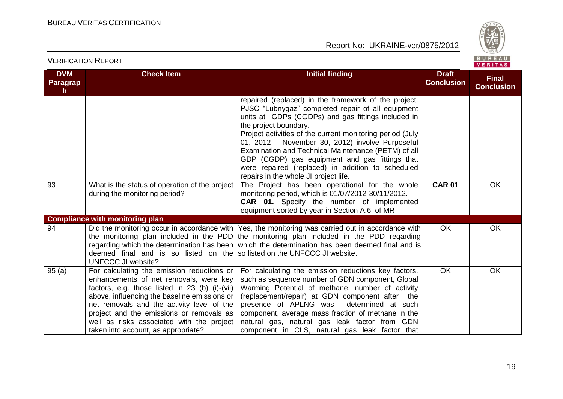

| <b>DVM</b><br>Paragrap<br>h. | <b>Check Item</b>                                                                                                                                                                                                                                                                                                                                                    | <b>Initial finding</b>                                                                                                                                                                                                                                                                                                                                                                                                                                                                                           | <b>Draft</b><br><b>Conclusion</b> | <b>Final</b><br><b>Conclusion</b> |
|------------------------------|----------------------------------------------------------------------------------------------------------------------------------------------------------------------------------------------------------------------------------------------------------------------------------------------------------------------------------------------------------------------|------------------------------------------------------------------------------------------------------------------------------------------------------------------------------------------------------------------------------------------------------------------------------------------------------------------------------------------------------------------------------------------------------------------------------------------------------------------------------------------------------------------|-----------------------------------|-----------------------------------|
|                              |                                                                                                                                                                                                                                                                                                                                                                      | repaired (replaced) in the framework of the project.<br>PJSC "Lubnygaz" completed repair of all equipment<br>units at GDPs (CGDPs) and gas fittings included in<br>the project boundary.<br>Project activities of the current monitoring period (July<br>01, 2012 - November 30, 2012) involve Purposeful<br>Examination and Technical Maintenance (PETM) of all<br>GDP (CGDP) gas equipment and gas fittings that<br>were repaired (replaced) in addition to scheduled<br>repairs in the whole JI project life. |                                   |                                   |
| 93                           | What is the status of operation of the project<br>during the monitoring period?                                                                                                                                                                                                                                                                                      | The Project has been operational for the whole<br>monitoring period, which is 01/07/2012-30/11/2012.<br><b>CAR 01.</b> Specify the number of implemented<br>equipment sorted by year in Section A.6. of MR                                                                                                                                                                                                                                                                                                       | <b>CAR 01</b>                     | <b>OK</b>                         |
| 94                           | <b>Compliance with monitoring plan</b><br>deemed final and is so listed on the solisted on the UNFCCC JI website.<br><b>UNFCCC JI website?</b>                                                                                                                                                                                                                       | Did the monitoring occur in accordance with  Yes, the monitoring was carried out in accordance with <br>the monitoring plan included in the PDD the monitoring plan included in the PDD regarding<br>regarding which the determination has been which the determination has been deemed final and is                                                                                                                                                                                                             | <b>OK</b>                         | OK                                |
| 95(a)                        | For calculating the emission reductions or<br>enhancements of net removals, were key<br>factors, e.g. those listed in 23 (b) (i)-(vii)<br>above, influencing the baseline emissions or<br>net removals and the activity level of the<br>project and the emissions or removals as<br>well as risks associated with the project<br>taken into account, as appropriate? | For calculating the emission reductions key factors,<br>such as sequence number of GDN component, Global<br>Warming Potential of methane, number of activity<br>(replacement/repair) at GDN component after the<br>presence of APLNG was<br>determined at such<br>component, average mass fraction of methane in the<br>natural gas, natural gas leak factor from GDN<br>component in CLS, natural gas leak factor that                                                                                          | <b>OK</b>                         | OK                                |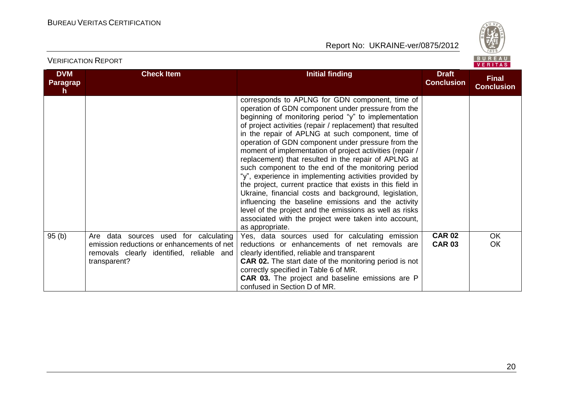

| <b>DVM</b><br>Paragrap<br>h. | <b>Check Item</b>                                                                                                                                | <b>Initial finding</b>                                                                                                                                                                                                                                                                                                                                                                                                                                                                                                                                                                                                                                                                                                                                                                                                                                                                         | <b>Draft</b><br><b>Conclusion</b> | <b>Final</b><br><b>Conclusion</b> |
|------------------------------|--------------------------------------------------------------------------------------------------------------------------------------------------|------------------------------------------------------------------------------------------------------------------------------------------------------------------------------------------------------------------------------------------------------------------------------------------------------------------------------------------------------------------------------------------------------------------------------------------------------------------------------------------------------------------------------------------------------------------------------------------------------------------------------------------------------------------------------------------------------------------------------------------------------------------------------------------------------------------------------------------------------------------------------------------------|-----------------------------------|-----------------------------------|
|                              |                                                                                                                                                  | corresponds to APLNG for GDN component, time of<br>operation of GDN component under pressure from the<br>beginning of monitoring period "y" to implementation<br>of project activities (repair / replacement) that resulted<br>in the repair of APLNG at such component, time of<br>operation of GDN component under pressure from the<br>moment of implementation of project activities (repair /<br>replacement) that resulted in the repair of APLNG at<br>such component to the end of the monitoring period<br>"y", experience in implementing activities provided by<br>the project, current practice that exists in this field in<br>Ukraine, financial costs and background, legislation,<br>influencing the baseline emissions and the activity<br>level of the project and the emissions as well as risks<br>associated with the project were taken into account,<br>as appropriate. |                                   |                                   |
| 95(b)                        | Are data sources used for calculating<br>emission reductions or enhancements of net<br>removals clearly identified, reliable and<br>transparent? | Yes, data sources used for calculating emission<br>reductions or enhancements of net removals are<br>clearly identified, reliable and transparent<br><b>CAR 02.</b> The start date of the monitoring period is not<br>correctly specified in Table 6 of MR.<br><b>CAR 03.</b> The project and baseline emissions are P<br>confused in Section D of MR.                                                                                                                                                                                                                                                                                                                                                                                                                                                                                                                                         | <b>CAR 02</b><br><b>CAR 03</b>    | OK.<br><b>OK</b>                  |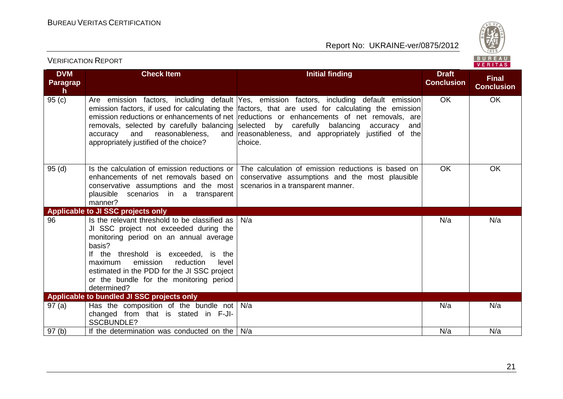

| <b>DVM</b><br><b>Paragrap</b><br>$\mathsf{h}$ | <b>Check Item</b>                                                                                                                                                                                                                                                                                                                         | <b>Initial finding</b>                                                                                                                                                                                                                                                                                                                                                                             | <b>Draft</b><br><b>Conclusion</b> | <b>Final</b><br><b>Conclusion</b> |
|-----------------------------------------------|-------------------------------------------------------------------------------------------------------------------------------------------------------------------------------------------------------------------------------------------------------------------------------------------------------------------------------------------|----------------------------------------------------------------------------------------------------------------------------------------------------------------------------------------------------------------------------------------------------------------------------------------------------------------------------------------------------------------------------------------------------|-----------------------------------|-----------------------------------|
| 95(c)                                         | removals, selected by carefully balancing selected by carefully<br>and<br>reasonableness,<br>accuracy<br>appropriately justified of the choice?                                                                                                                                                                                           | Are emission factors, including default Yes, emission factors, including default emission<br>emission factors, if used for calculating the factors, that are used for calculating the emission<br>emission reductions or enhancements of net reductions or enhancements of net removals, are<br>balancing<br>accuracy<br>andl<br>and reasonableness, and appropriately justified of the<br>choice. | <b>OK</b>                         | <b>OK</b>                         |
| 95(d)                                         | Is the calculation of emission reductions or<br>enhancements of net removals based on<br>conservative assumptions and the most<br>plausible scenarios in a transparent<br>manner?                                                                                                                                                         | The calculation of emission reductions is based on<br>conservative assumptions and the most plausible<br>scenarios in a transparent manner.                                                                                                                                                                                                                                                        | <b>OK</b>                         | <b>OK</b>                         |
|                                               | Applicable to JI SSC projects only                                                                                                                                                                                                                                                                                                        |                                                                                                                                                                                                                                                                                                                                                                                                    |                                   |                                   |
| 96                                            | Is the relevant threshold to be classified as<br>JI SSC project not exceeded during the<br>monitoring period on an annual average<br>basis?<br>If the threshold is exceeded, is the<br>emission<br>reduction<br>maximum<br>level<br>estimated in the PDD for the JI SSC project<br>or the bundle for the monitoring period<br>determined? | N/a                                                                                                                                                                                                                                                                                                                                                                                                | N/a                               | N/a                               |
|                                               | Applicable to bundled JI SSC projects only                                                                                                                                                                                                                                                                                                |                                                                                                                                                                                                                                                                                                                                                                                                    |                                   |                                   |
| 97(a)                                         | Has the composition of the bundle not $N/a$<br>changed from that is stated in F-JI-<br><b>SSCBUNDLE?</b>                                                                                                                                                                                                                                  |                                                                                                                                                                                                                                                                                                                                                                                                    | N/a                               | N/a                               |
| 97(b)                                         | If the determination was conducted on the                                                                                                                                                                                                                                                                                                 | N/a                                                                                                                                                                                                                                                                                                                                                                                                | N/a                               | N/a                               |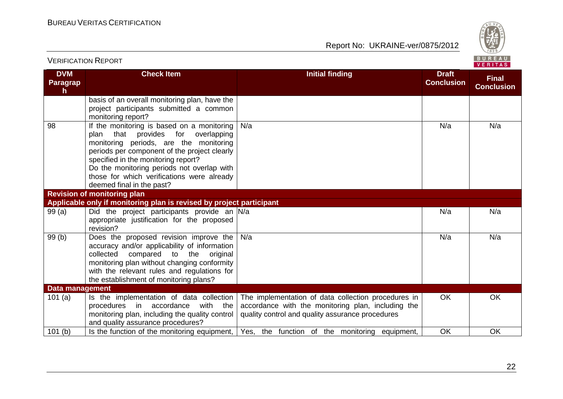

|                             |                                                                                                                                                                                                                                                                                                                                                  |                                                                                                                                                               |                                   | <b>VENIIAS</b>                    |
|-----------------------------|--------------------------------------------------------------------------------------------------------------------------------------------------------------------------------------------------------------------------------------------------------------------------------------------------------------------------------------------------|---------------------------------------------------------------------------------------------------------------------------------------------------------------|-----------------------------------|-----------------------------------|
| <b>DVM</b><br>Paragrap<br>h | <b>Check Item</b>                                                                                                                                                                                                                                                                                                                                | <b>Initial finding</b>                                                                                                                                        | <b>Draft</b><br><b>Conclusion</b> | <b>Final</b><br><b>Conclusion</b> |
|                             | basis of an overall monitoring plan, have the<br>project participants submitted a common<br>monitoring report?                                                                                                                                                                                                                                   |                                                                                                                                                               |                                   |                                   |
| 98                          | If the monitoring is based on a monitoring<br>that provides for<br>overlapping<br>plan<br>monitoring periods, are the monitoring<br>periods per component of the project clearly<br>specified in the monitoring report?<br>Do the monitoring periods not overlap with<br>those for which verifications were already<br>deemed final in the past? | N/a                                                                                                                                                           | N/a                               | N/a                               |
|                             | <b>Revision of monitoring plan</b>                                                                                                                                                                                                                                                                                                               |                                                                                                                                                               |                                   |                                   |
|                             | Applicable only if monitoring plan is revised by project participant                                                                                                                                                                                                                                                                             |                                                                                                                                                               |                                   |                                   |
| 99(a)                       | Did the project participants provide an N/a<br>appropriate justification for the proposed<br>revision?                                                                                                                                                                                                                                           |                                                                                                                                                               | N/a                               | N/a                               |
| 99 (b)                      | Does the proposed revision improve the<br>accuracy and/or applicability of information<br>compared<br>collected<br>to<br>the<br>original<br>monitoring plan without changing conformity<br>with the relevant rules and regulations for<br>the establishment of monitoring plans?                                                                 | N/a                                                                                                                                                           | N/a                               | N/a                               |
| <b>Data management</b>      |                                                                                                                                                                                                                                                                                                                                                  |                                                                                                                                                               |                                   |                                   |
| 101(a)                      | Is the implementation of data collection<br>procedures in accordance<br>with the<br>monitoring plan, including the quality control<br>and quality assurance procedures?                                                                                                                                                                          | The implementation of data collection procedures in<br>accordance with the monitoring plan, including the<br>quality control and quality assurance procedures | <b>OK</b>                         | OK                                |
| 101(b)                      | Is the function of the monitoring equipment,                                                                                                                                                                                                                                                                                                     | Yes, the function of the monitoring equipment,                                                                                                                | OK                                | OK                                |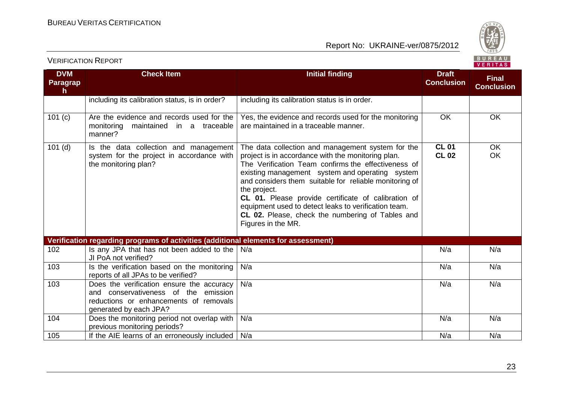



| <b>DVM</b><br><b>Paragrap</b><br>h. | <b>Check Item</b>                                                                                                                                     | <b>Initial finding</b>                                                                                                                                                                                                                                                                                                                                                                                                                                                               | <b>Draft</b><br><b>Conclusion</b> | <b>Final</b><br><b>Conclusion</b> |
|-------------------------------------|-------------------------------------------------------------------------------------------------------------------------------------------------------|--------------------------------------------------------------------------------------------------------------------------------------------------------------------------------------------------------------------------------------------------------------------------------------------------------------------------------------------------------------------------------------------------------------------------------------------------------------------------------------|-----------------------------------|-----------------------------------|
|                                     | including its calibration status, is in order?                                                                                                        | including its calibration status is in order.                                                                                                                                                                                                                                                                                                                                                                                                                                        |                                   |                                   |
| 101(c)                              | Are the evidence and records used for the<br>maintained in a traceable<br>monitoring<br>manner?                                                       | Yes, the evidence and records used for the monitoring<br>are maintained in a traceable manner.                                                                                                                                                                                                                                                                                                                                                                                       | <b>OK</b>                         | OK                                |
| $101$ (d)                           | Is the data collection and management<br>system for the project in accordance with<br>the monitoring plan?                                            | The data collection and management system for the<br>project is in accordance with the monitoring plan.<br>The Verification Team confirms the effectiveness of<br>existing management system and operating system<br>and considers them suitable for reliable monitoring of<br>the project.<br>CL 01. Please provide certificate of calibration of<br>equipment used to detect leaks to verification team.<br>CL 02. Please, check the numbering of Tables and<br>Figures in the MR. | <b>CL 01</b><br><b>CL 02</b>      | <b>OK</b><br>OK                   |
|                                     | Verification regarding programs of activities (additional elements for assessment)                                                                    |                                                                                                                                                                                                                                                                                                                                                                                                                                                                                      |                                   |                                   |
| 102                                 | Is any JPA that has not been added to the<br>JI PoA not verified?                                                                                     | N/a                                                                                                                                                                                                                                                                                                                                                                                                                                                                                  | N/a                               | N/a                               |
| 103                                 | Is the verification based on the monitoring<br>reports of all JPAs to be verified?                                                                    | N/a                                                                                                                                                                                                                                                                                                                                                                                                                                                                                  | N/a                               | N/a                               |
| 103                                 | Does the verification ensure the accuracy<br>and conservativeness of the emission<br>reductions or enhancements of removals<br>generated by each JPA? | N/a                                                                                                                                                                                                                                                                                                                                                                                                                                                                                  | N/a                               | N/a                               |
| 104                                 | Does the monitoring period not overlap with<br>previous monitoring periods?                                                                           | N/a                                                                                                                                                                                                                                                                                                                                                                                                                                                                                  | N/a                               | N/a                               |
| 105                                 | If the AIE learns of an erroneously included                                                                                                          | N/a                                                                                                                                                                                                                                                                                                                                                                                                                                                                                  | N/a                               | N/a                               |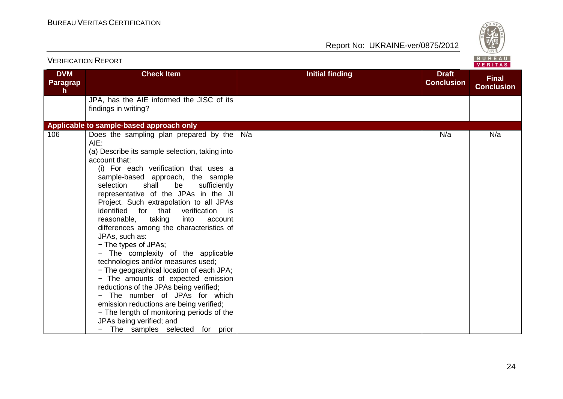

|                             | <b>VERIFICATION REPORT</b>                                                                                                                                                                                                                                                                                                                                                                                                                                                                                                                                                                                                                                                                                                                                                                                                                                                                                       |                        |                                   | BUREAU<br>VERITAS                 |
|-----------------------------|------------------------------------------------------------------------------------------------------------------------------------------------------------------------------------------------------------------------------------------------------------------------------------------------------------------------------------------------------------------------------------------------------------------------------------------------------------------------------------------------------------------------------------------------------------------------------------------------------------------------------------------------------------------------------------------------------------------------------------------------------------------------------------------------------------------------------------------------------------------------------------------------------------------|------------------------|-----------------------------------|-----------------------------------|
| <b>DVM</b><br>Paragrap<br>h | <b>Check Item</b>                                                                                                                                                                                                                                                                                                                                                                                                                                                                                                                                                                                                                                                                                                                                                                                                                                                                                                | <b>Initial finding</b> | <b>Draft</b><br><b>Conclusion</b> | <b>Final</b><br><b>Conclusion</b> |
|                             | JPA, has the AIE informed the JISC of its<br>findings in writing?                                                                                                                                                                                                                                                                                                                                                                                                                                                                                                                                                                                                                                                                                                                                                                                                                                                |                        |                                   |                                   |
|                             | Applicable to sample-based approach only                                                                                                                                                                                                                                                                                                                                                                                                                                                                                                                                                                                                                                                                                                                                                                                                                                                                         |                        |                                   |                                   |
| 106                         | Does the sampling plan prepared by the<br>AIE:<br>(a) Describe its sample selection, taking into<br>account that:<br>(i) For each verification that uses a<br>sample-based approach, the sample<br>selection<br>shall<br>be<br>sufficiently<br>representative of the JPAs in the JI<br>Project. Such extrapolation to all JPAs<br>identified<br>for that<br>verification<br>is<br>taking<br>reasonable,<br>into<br>account<br>differences among the characteristics of<br>JPAs, such as:<br>- The types of JPAs;<br>- The complexity of the applicable<br>technologies and/or measures used;<br>- The geographical location of each JPA;<br>- The amounts of expected emission<br>reductions of the JPAs being verified;<br>- The number of JPAs for which<br>emission reductions are being verified;<br>- The length of monitoring periods of the<br>JPAs being verified; and<br>The samples selected for prior | N/a                    | N/a                               | N/a                               |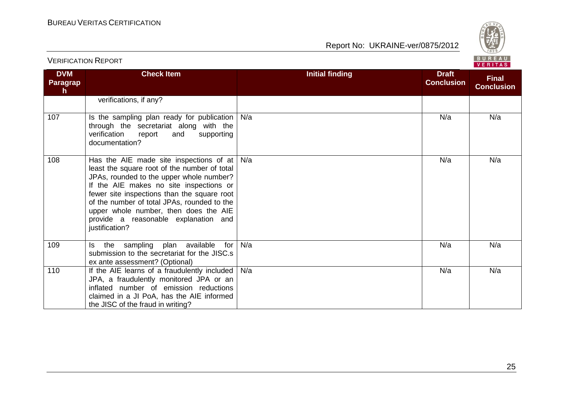

| <b>DVM</b><br>Paragrap<br>$\mathsf{h}$ | <b>Check Item</b>                                                                                                                                                                                                                                                                                                                                                               | <b>Initial finding</b> | <b>Draft</b><br><b>Conclusion</b> | <b>Final</b><br><b>Conclusion</b> |
|----------------------------------------|---------------------------------------------------------------------------------------------------------------------------------------------------------------------------------------------------------------------------------------------------------------------------------------------------------------------------------------------------------------------------------|------------------------|-----------------------------------|-----------------------------------|
|                                        | verifications, if any?                                                                                                                                                                                                                                                                                                                                                          |                        |                                   |                                   |
| 107                                    | Is the sampling plan ready for publication<br>through the secretariat along with the<br>verification<br>report<br>supporting<br>and<br>documentation?                                                                                                                                                                                                                           | N/a                    | N/a                               | N/a                               |
| 108                                    | Has the AIE made site inspections of at<br>least the square root of the number of total<br>JPAs, rounded to the upper whole number?<br>If the AIE makes no site inspections or<br>fewer site inspections than the square root<br>of the number of total JPAs, rounded to the<br>upper whole number, then does the AIE<br>provide a reasonable explanation and<br>justification? | N/a                    | N/a                               | N/a                               |
| 109                                    | Is the sampling plan available<br>for<br>submission to the secretariat for the JISC.s<br>ex ante assessment? (Optional)                                                                                                                                                                                                                                                         | N/a                    | N/a                               | N/a                               |
| 110                                    | If the AIE learns of a fraudulently included<br>JPA, a fraudulently monitored JPA or an<br>inflated number of emission reductions<br>claimed in a JI PoA, has the AIE informed<br>the JISC of the fraud in writing?                                                                                                                                                             | N/a                    | N/a                               | N/a                               |